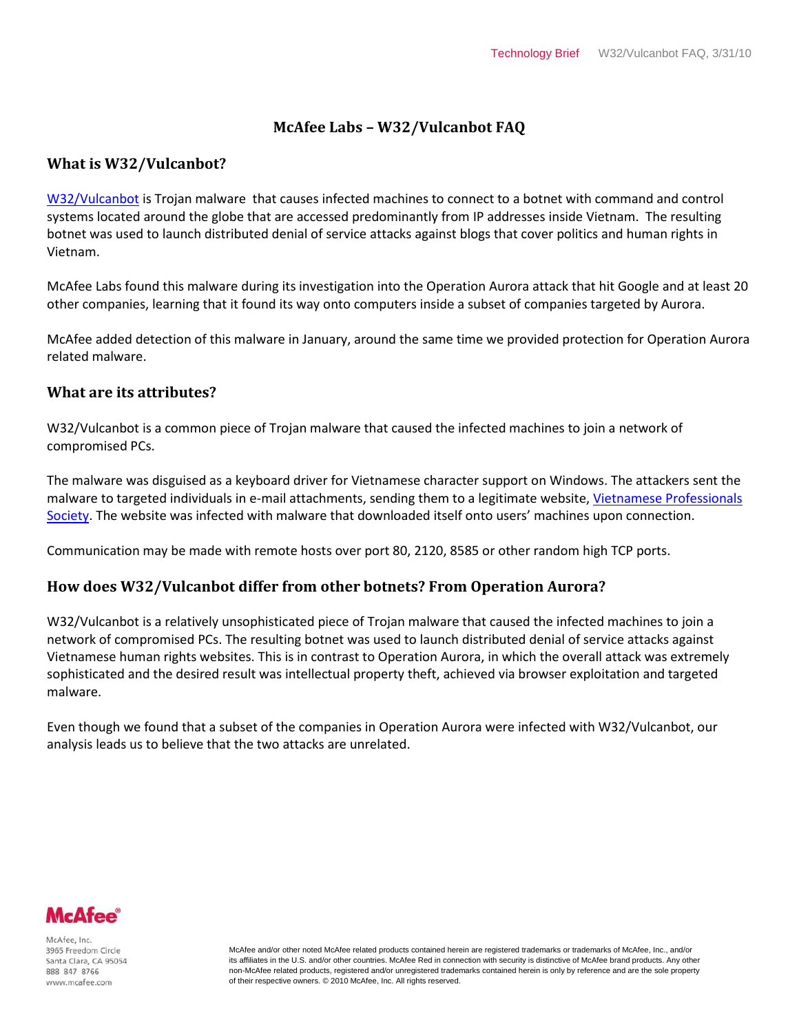# **McAfee Labs – W32/Vulcanbot FAQ**

### **What is W32/Vulcanbot?**

[W32/Vulcanbot](http://vil.nai.com/vil/content/v_254209.htm) is Trojan malware that causes infected machines to connect to a botnet with command and control systems located around the globe that are accessed predominantly from IP addresses inside Vietnam. The resulting botnet was used to launch distributed denial of service attacks against blogs that cover politics and human rights in Vietnam.

McAfee Labs found this malware during its investigation into the Operation Aurora attack that hit Google and at least 20 other companies, learning that it found its way onto computers inside a subset of companies targeted by Aurora.

McAfee added detection of this malware in January, around the same time we provided protection for Operation Aurora related malware.

#### **What are its attributes?**

W32/Vulcanbot is a common piece of Trojan malware that caused the infected machines to join a network of compromised PCs.

The malware was disguised as a keyboard driver for Vietnamese character support on Windows. The attackers sent the malware to targeted individuals in e-mail attachments, sending them to a legitimate website[, Vietnamese Professionals](http://www.vps.org/)  [Society.](http://www.vps.org/) The website was infected with malware that downloaded itself onto users' machines upon connection.

Communication may be made with remote hosts over port 80, 2120, 8585 or other random high TCP ports.

# **How does W32/Vulcanbot differ from other botnets? From Operation Aurora?**

W32/Vulcanbot is a relatively unsophisticated piece of Trojan malware that caused the infected machines to join a network of compromised PCs. The resulting botnet was used to launch distributed denial of service attacks against Vietnamese human rights websites. This is in contrast to Operation Aurora, in which the overall attack was extremely sophisticated and the desired result was intellectual property theft, achieved via browser exploitation and targeted malware.

Even though we found that a subset of the companies in Operation Aurora were infected with W32/Vulcanbot, our analysis leads us to believe that the two attacks are unrelated.



McAfee, Inc 3965 Freedom Circle Santa Clara, CA 95054 888 847 8766 www.mcafee.com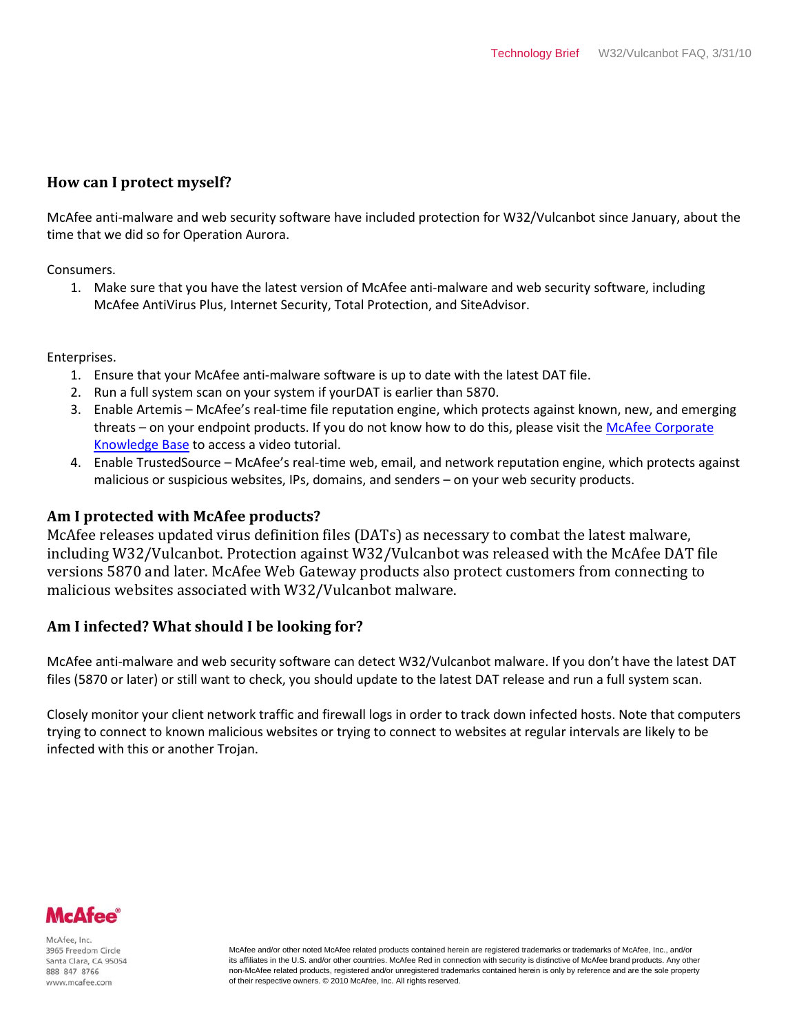# **How can I protect myself?**

McAfee anti-malware and web security software have included protection for W32/Vulcanbot since January, about the time that we did so for Operation Aurora.

Consumers.

1. Make sure that you have the latest version of McAfee anti-malware and web security software, including McAfee AntiVirus Plus, Internet Security, Total Protection, and SiteAdvisor.

Enterprises.

- 1. Ensure that your McAfee anti-malware software is up to date with the latest DAT file.
- 2. Run a full system scan on your system if yourDAT is earlier than 5870.
- 3. Enable Artemis McAfee's real-time file reputation engine, which protects against known, new, and emerging threats – on your endpoint products. If you do not know how to do this, please visit the McAfee Corporate [Knowledge Base](https://kc.mcafee.com/corporate/index?page=content&id=kb53732) to access a video tutorial.
- 4. Enable TrustedSource McAfee's real-time web, email, and network reputation engine, which protects against malicious or suspicious websites, IPs, domains, and senders – on your web security products.

#### **Am I protected with McAfee products?**

McAfee releases updated virus definition files (DATs) as necessary to combat the latest malware, including W32/Vulcanbot. Protection against W32/Vulcanbot was released with the McAfee DAT file versions 5870 and later. McAfee Web Gateway products also protect customers from connecting to malicious websites associated with W32/Vulcanbot malware.

# **Am I infected? What should I be looking for?**

McAfee anti-malware and web security software can detect W32/Vulcanbot malware. If you don't have the latest DAT files (5870 or later) or still want to check, you should update to the latest DAT release and run a full system scan.

Closely monitor your client network traffic and firewall logs in order to track down infected hosts. Note that computers trying to connect to known malicious websites or trying to connect to websites at regular intervals are likely to be infected with this or another Trojan.



McAfee, Inc 3965 Freedom Circle Santa Clara, CA 95054 888 847 8766 www.mcafee.com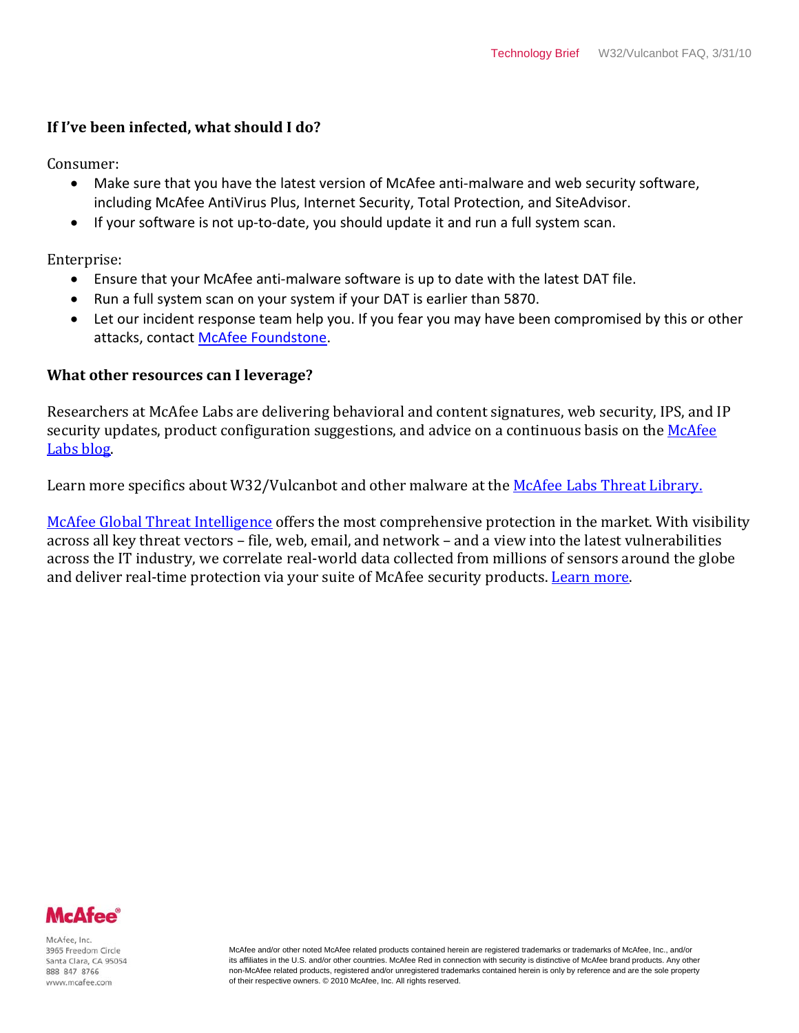# **If I've been infected, what should I do?**

Consumer:

- Make sure that you have the latest version of McAfee anti-malware and web security software, including McAfee AntiVirus Plus, Internet Security, Total Protection, and SiteAdvisor.
- If your software is not up-to-date, you should update it and run a full system scan.

Enterprise:

- Ensure that your McAfee anti-malware software is up to date with the latest DAT file.
- Run a full system scan on your system if your DAT is earlier than 5870.
- Let our incident response team help you. If you fear you may have been compromised by this or other attacks, contac[t McAfee Foundstone.](http://www.foundstone.com/us/index.asp)

# **What other resources can I leverage?**

Researchers at McAfee Labs are delivering behavioral and content signatures, web security, IPS, and IP security updates, product configuration suggestions, and advice on a continuous basis on the McAfee [Labs blog.](http://www.avertlabs.com/research/blog/)

Learn more specifics about W32/Vulcanbot and other malware at the [McAfee Labs Threat Library.](http://vil.nai.com/vil/content/v_254209.htm)

[McAfee Global Threat Intelligence](http://www.mcafee.com/us/mcafee_labs/gti.html) offers the most comprehensive protection in the market. With visibility across all key threat vectors – file, web, email, and network – and a view into the latest vulnerabilities across the IT industry, we correlate real-world data collected from millions of sensors around the globe and deliver real-time protection via your suite of McAfee security products. [Learn more.](http://www.mcafee.com/us/mcafee_labs/gti.html)



McAfee, Inc 3965 Freedom Circle Santa Clara, CA 95054 888 847 8766 www.mcafee.com